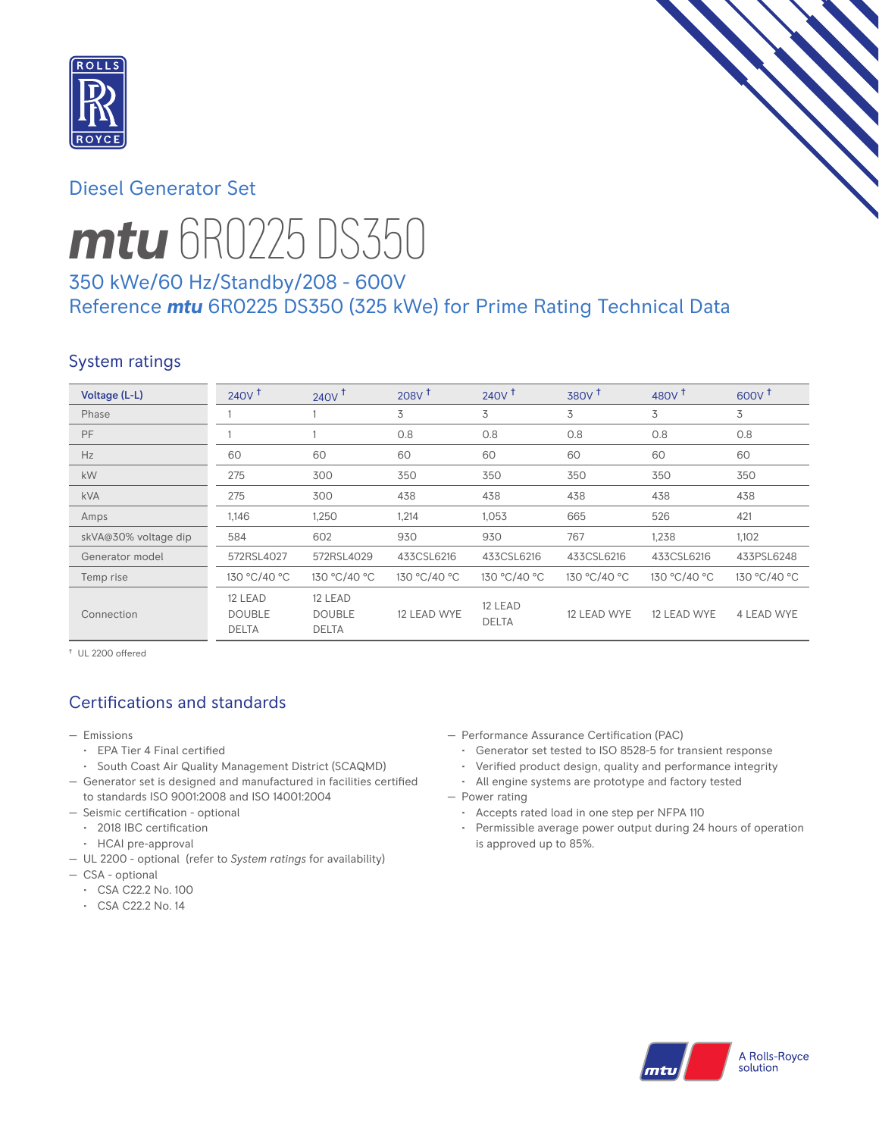

# Diesel Generator Set



# *mtu* 6R0225 DS350

# 350 kWe/60 Hz/Standby/208 - 600V Reference *mtu* 6R0225 DS350 (325 kWe) for Prime Rating Technical Data

## System ratings

| Voltage (L-L)        | 240V <sup>†</sup>                        | $240V$ <sup>T</sup>                      | $208V$ <sup>+</sup> | $240V$ <sup>+</sup>     | 380V <sup>†</sup> | 480 $V†$     | $600V^{\dagger}$ |
|----------------------|------------------------------------------|------------------------------------------|---------------------|-------------------------|-------------------|--------------|------------------|
| Phase                |                                          |                                          | 3                   | 3                       | 3                 | 3            | 3                |
| <b>PF</b>            |                                          |                                          | 0.8                 | 0.8                     | 0.8               | 0.8          | 0.8              |
| Hz                   | 60                                       | 60                                       | 60                  | 60                      | 60                | 60           | 60               |
| <b>kW</b>            | 275                                      | 300                                      | 350                 | 350                     | 350               | 350          | 350              |
| <b>kVA</b>           | 275                                      | 300                                      | 438                 | 438                     | 438               | 438          | 438              |
| Amps                 | 1,146                                    | 1,250                                    | 1,214               | 1,053                   | 665               | 526          | 421              |
| skVA@30% voltage dip | 584                                      | 602                                      | 930                 | 930                     | 767               | 1,238        | 1,102            |
| Generator model      | 572RSL4027                               | 572RSL4029                               | 433CSL6216          | 433CSL6216              | 433CSL6216        | 433CSL6216   | 433PSL6248       |
| Temp rise            | 130 °C/40 °C                             | 130 °C/40 °C                             | 130 °C/40 °C        | 130 °C/40 °C            | 130 °C/40 °C      | 130 °C/40 °C | 130 °C/40 °C     |
| Connection           | 12 LEAD<br><b>DOUBLE</b><br><b>DELTA</b> | 12 LEAD<br><b>DOUBLE</b><br><b>DELTA</b> | 12 LEAD WYE         | 12 LEAD<br><b>DELTA</b> | 12 LEAD WYE       | 12 LEAD WYE  | 4 LEAD WYE       |

† UL 2200 offered

# Certifications and standards

- Emissions
	- EPA Tier 4 Final certified
	- South Coast Air Quality Management District (SCAQMD)
- Generator set is designed and manufactured in facilities certified to standards ISO 9001:2008 and ISO 14001:2004
- Seismic certification optional
	- 2018 IBC certification
	- HCAI pre-approval
- UL 2200 optional (refer to *System ratings* for availability)
- CSA optional
	- CSA C22.2 No. 100
	- CSA C22.2 No. 14
- Performance Assurance Certification (PAC)
	- Generator set tested to ISO 8528-5 for transient response
	- Verified product design, quality and performance integrity
- All engine systems are prototype and factory tested — Power rating
	- Accepts rated load in one step per NFPA 110
	- Permissible average power output during 24 hours of operation is approved up to 85%.

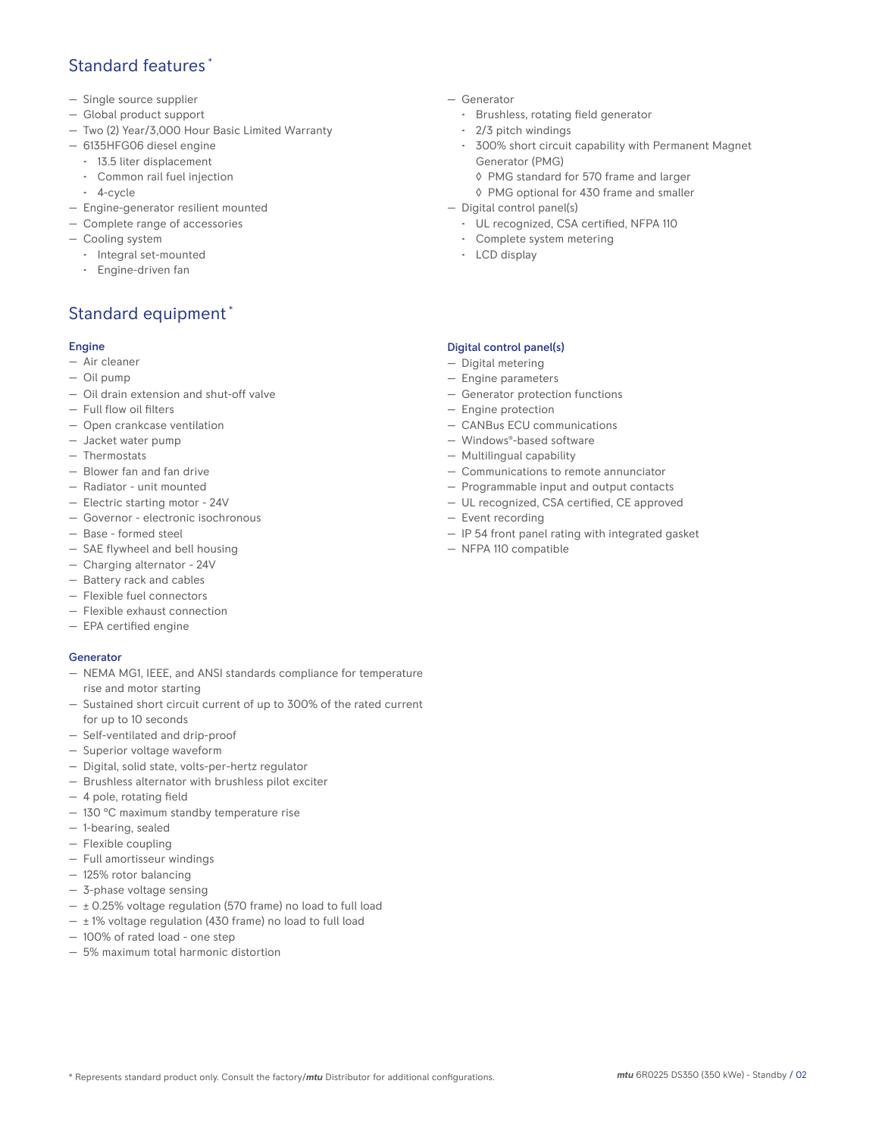## Standard features \*

- Single source supplier
- Global product support
- Two (2) Year/3,000 Hour Basic Limited Warranty
- 6135HFG06 diesel engine
	- 13.5 liter displacement
	- Common rail fuel injection
	- 4-cycle
- Engine-generator resilient mounted
- Complete range of accessories
- Cooling system
- Integral set-mounted
	- Engine-driven fan

## Standard equipment \*

#### Engine

- Air cleaner
- Oil pump
- Oil drain extension and shut-off valve
- Full flow oil filters
- Open crankcase ventilation
- Jacket water pump
- Thermostats
- Blower fan and fan drive
- Radiator unit mounted
- Electric starting motor 24V
- Governor electronic isochronous
- Base formed steel
- SAE flywheel and bell housing
- Charging alternator 24V
- Battery rack and cables
- Flexible fuel connectors
- Flexible exhaust connection
- EPA certified engine

### **Generator**

- NEMA MG1, IEEE, and ANSI standards compliance for temperature rise and motor starting
- Sustained short circuit current of up to 300% of the rated current for up to 10 seconds
- Self-ventilated and drip-proof
- Superior voltage waveform
- Digital, solid state, volts-per-hertz regulator
- Brushless alternator with brushless pilot exciter
- 4 pole, rotating field
- 130 °C maximum standby temperature rise
- 1-bearing, sealed
- Flexible coupling
- Full amortisseur windings
- 125% rotor balancing
- 3-phase voltage sensing
- $\pm$  0.25% voltage regulation (570 frame) no load to full load
- $\pm$  1% voltage regulation (430 frame) no load to full load
- 100% of rated load one step
- 5% maximum total harmonic distortion
- Generator
	- Brushless, rotating field generator
	- 2/3 pitch windings
	- 300% short circuit capability with Permanent Magnet Generator (PMG)
		- ◊ PMG standard for 570 frame and larger
		- ◊ PMG optional for 430 frame and smaller
- Digital control panel(s)
	- UL recognized, CSA certified, NFPA 110
	- Complete system metering
	- LCD display

### Digital control panel(s)

- Digital metering
- Engine parameters
- Generator protection functions
- Engine protection
- CANBus ECU communications
- Windows®-based software
- Multilingual capability
- Communications to remote annunciator
- Programmable input and output contacts
- UL recognized, CSA certified, CE approved
- Event recording
- IP 54 front panel rating with integrated gasket
- NFPA 110 compatible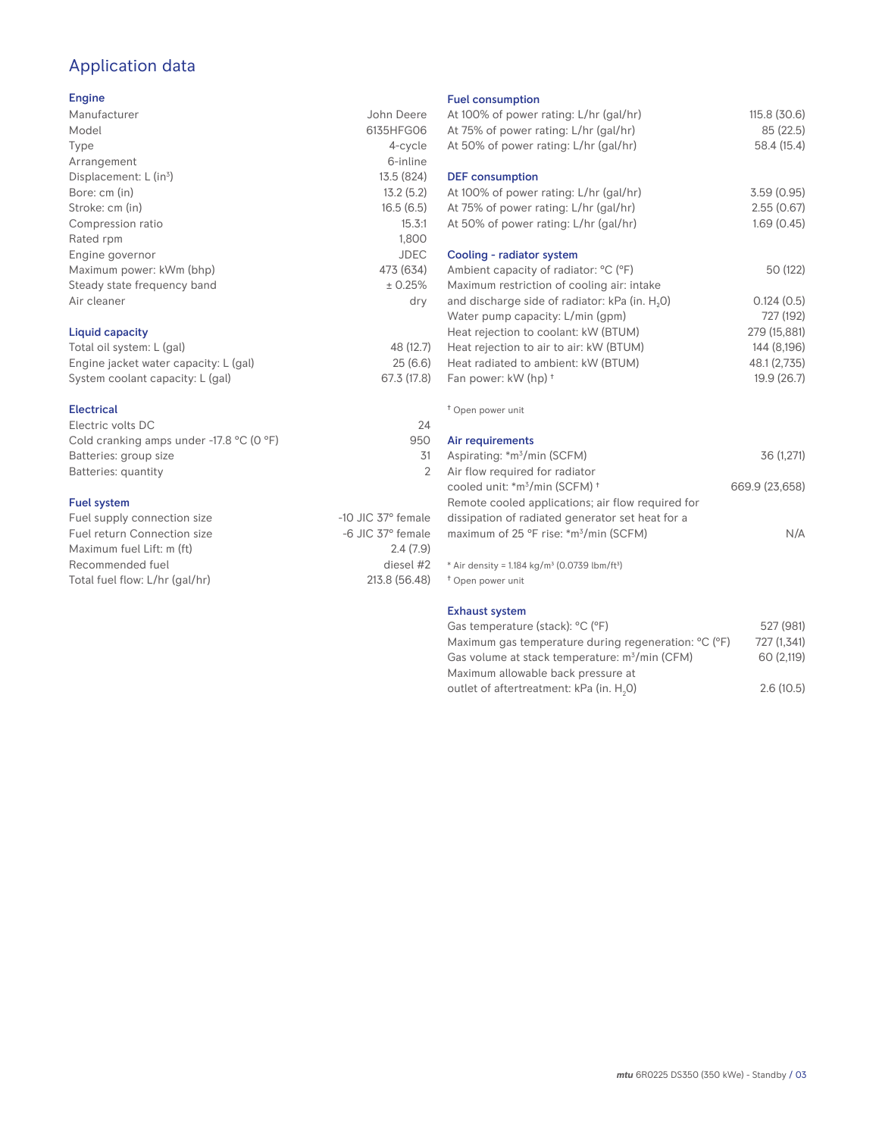# Application data

#### Engine

| Manufacturer                | John Deere  |
|-----------------------------|-------------|
| Model                       | 6135HFG06   |
| Type                        | 4-cycle     |
| Arrangement                 | 6-inline    |
| Displacement: $L (in3)$     | 13.5 (824)  |
| Bore: cm (in)               | 13.2(5.2)   |
| Stroke: cm (in)             | 16.5(6.5)   |
| Compression ratio           | 15.3:1      |
| Rated rpm                   | 1,800       |
| Engine governor             | <b>JDEC</b> |
| Maximum power: kWm (bhp)    | 473 (634)   |
| Steady state frequency band | ± 0.25%     |
| Air cleaner                 | dry         |
|                             |             |
|                             |             |

## Liquid capacity

| Total oil system: L (gal)             | 48 (12.7)   |
|---------------------------------------|-------------|
| Engine jacket water capacity: L (gal) | 25(6.6)     |
| System coolant capacity: L (gal)      | 67.3 (17.8) |

#### Electrical

| Electric volts DC                                            | 24  |
|--------------------------------------------------------------|-----|
| Cold cranking amps under -17.8 $^{\circ}$ C (O $^{\circ}$ F) | 950 |
| Batteries: group size                                        | 31  |
| Batteries: quantity                                          |     |
|                                                              |     |

#### Fuel system

| Fuel supply connection size    | $-10$ JIC 37 $\degree$ female |
|--------------------------------|-------------------------------|
| Fuel return Connection size    | $-6$ JIC 37 $^{\circ}$ female |
| Maximum fuel Lift: m (ft)      | 2.4(7.9)                      |
| Recommended fuel               | diesel #2                     |
| Total fuel flow: L/hr (gal/hr) | 213.8 (56.48)                 |
|                                |                               |

#### Fuel consumption

| uut uundunpuun<br>At 100% of power rating: L/hr (gal/hr)<br>At 75% of power rating: L/hr (gal/hr)<br>At 50% of power rating: L/hr (gal/hr)                                                                                                                                                                                                                                      | 115.8(30.6)<br>85 (22.5)<br>58.4 (15.4)                                                           |
|---------------------------------------------------------------------------------------------------------------------------------------------------------------------------------------------------------------------------------------------------------------------------------------------------------------------------------------------------------------------------------|---------------------------------------------------------------------------------------------------|
| <b>DEF</b> consumption<br>At 100% of power rating: L/hr (gal/hr)<br>At 75% of power rating: L/hr (gal/hr)<br>At 50% of power rating: L/hr (gal/hr)                                                                                                                                                                                                                              | 3.59(0.95)<br>2.55(0.67)<br>1.69(0.45)                                                            |
| Cooling - radiator system<br>Ambient capacity of radiator: °C (°F)<br>Maximum restriction of cooling air: intake<br>and discharge side of radiator: kPa (in. H <sub>2</sub> O)<br>Water pump capacity: L/min (gpm)<br>Heat rejection to coolant: kW (BTUM)<br>Heat rejection to air to air: kW (BTUM)<br>Heat radiated to ambient: kW (BTUM)<br>Fan power: kW (hp) <sup>+</sup> | 50 (122)<br>0.124(0.5)<br>727 (192)<br>279 (15,881)<br>144 (8,196)<br>48.1 (2,735)<br>19.9 (26.7) |
| <sup>†</sup> Open power unit                                                                                                                                                                                                                                                                                                                                                    |                                                                                                   |
| Air requirements<br>Aspirating: *m <sup>3</sup> /min (SCFM)<br>Air flow required for radiator<br>cooled unit: *m <sup>3</sup> /min (SCFM) <sup>+</sup><br>Remote cooled applications; air flow required for                                                                                                                                                                     | 36 (1,271)<br>669.9 (23,658)                                                                      |
| dissipation of radiated generator set heat for a<br>maximum of 25 °F rise: *m <sup>3</sup> /min (SCFM)<br>* Air density = $1.184$ kg/m <sup>3</sup> (0.0739 lbm/ft <sup>3</sup> )                                                                                                                                                                                               | N/A                                                                                               |
| <sup>†</sup> Open power unit<br><b>Exhaust system</b><br>Gas temperature (stack): °C (°F)                                                                                                                                                                                                                                                                                       | 527 (981)                                                                                         |
| Maximum gas temperature during regeneration <sup>, o</sup> C (°F)                                                                                                                                                                                                                                                                                                               | 727 (1.341)                                                                                       |

| Gas temperature (stack): °C (°F)                                              | 527 (981)   |
|-------------------------------------------------------------------------------|-------------|
| Maximum gas temperature during regeneration: <sup>o</sup> C ( <sup>o</sup> F) | 727 (1.341) |
| Gas volume at stack temperature: m <sup>3</sup> /min (CFM)                    | 60 (2.119)  |
| Maximum allowable back pressure at                                            |             |
| outlet of aftertreatment: kPa (in. H.O)                                       | 2.6(10.5)   |